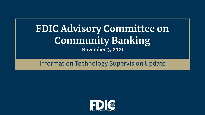## **FDIC Advisory Committee on Community Banking November 3, 2021**

## Information Technology Supervision Update

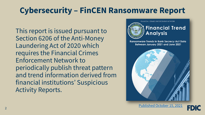# **Cybersecurity – FinCEN Ransomware Report**

 Section 6206 of the Anti-Money requires the Financial Crimes This report is issued pursuant to Laundering Act of 2020 which Enforcement Network to periodically publish threat pattern and trend information derived from financial institutions' Suspicious Activity Reports.



### **Financial Trend Analysis**

**Ransomware Trends in Bank Secrecy Act Data** Between January 2021 and June 2021

I E D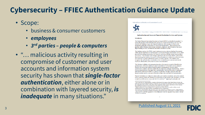## **Cybersecurity - FFIEC Authentication Guidance Update**

- Scope:
	- · business & consumer customers
	- · employees
	- 3rd parties people & computers
- "... malicious activity resulting in compromise of customer and user accounts and information system security has shown that single-factor authentication, either alone or in combination with layered security, is *inadequate* in many situations."





3501 Fairfax Drive · Room B7081a · Arlington, VA 22226-3550 · (703) 516-5588 · FAX (703) 562-6446 · www.ffiec.gov

#### **Authentication and Access to Financial Institution Services and Systems**

#### **Introduction**

The Federal Financial Institutions Examination Council (FFIEC) on behalf of its members<sup>1</sup> is issuing this guidance titled Authentication and Access to Financial Institution Services and Systems (the Guidance) to provide financial institutions with examples of effective risk management principles and practices for access and authentication. These principles and practices address business and consumer customers, employees, and third parties that access digital banking services<sup>2</sup> and financial institution information systems.

The Guidance replaces the FFIEC-issued Authentication in an Internet Banking Environment (2005) and the Supplement to Authentication in an Internet Banking Environment (2011), which provided risk management practices for financial institutions offering Internet-based products and services. This Guidance acknowledges significant risks associated with the cybersecurity threat landscape that reinforce the need for financial institutions to effectively authenticate users and customers<sup>3</sup> to protect information systems, accounts, and data. The Guidance also recognizes that authentication considerations have extended beyond customers and include employees, third parties, and system-to-system communications.

This Guidance highlights risk management practices that support oversight of identification, authentication, and access solutions as part of an institution's information security program. Periodic risk assessments inform financial institution management's decisions about authentication solutions and other controls that are deployed to mitigate identified risks. When a risk assessment indicates that single-factor authentication with layered security is inadequate, multi-factor authentication (MFA) or controls of equivalent strength, combined with other layered security controls, can more effectively mitigate risks associated with authentication.

Financial institutions are subject to various safety and soundness standards, such as the standard to have internal controls and information systems that are appropriate to the institution's size and complexity and the nature, scope, and risk of its activities.<sup>4</sup> Applying the principles and

<sup>&</sup>lt;sup>1</sup> The Council has six voting members: a member of the Board of Governors of the Federal Reserve System, the Chairman of the Federal Deposit Insurance Corporation; the Chairman of the National Credit Union Administration; the Comptroller of the Currency of the Office of the Comptroller of the Currency; the Director of the Consumer Financial Protection Bureau; and the Chairman of the State Liaison Committee <sup>2</sup> Digital banking refers to any banking service or platform that utilizes Internet or mobile cellular network communications for providing customers with banking services or transactions.

<sup>&</sup>lt;sup>3</sup> For purposes of this Guidance only, the terms "users" and "customers" are defined in section 1 of this Guidance. <sup>4</sup> See, for example, Interagency Guidelines Establishing Standards for Safety and Soundness: 12 CFR 30, Appendix A, II(A) (OCC); 12 CFR 208, Appendix D-1, II(A) (FRB); and 12 CFR 364, Appendix A, II(A) (FDIC). See also 12 CFR § 741.3 (NCUA).